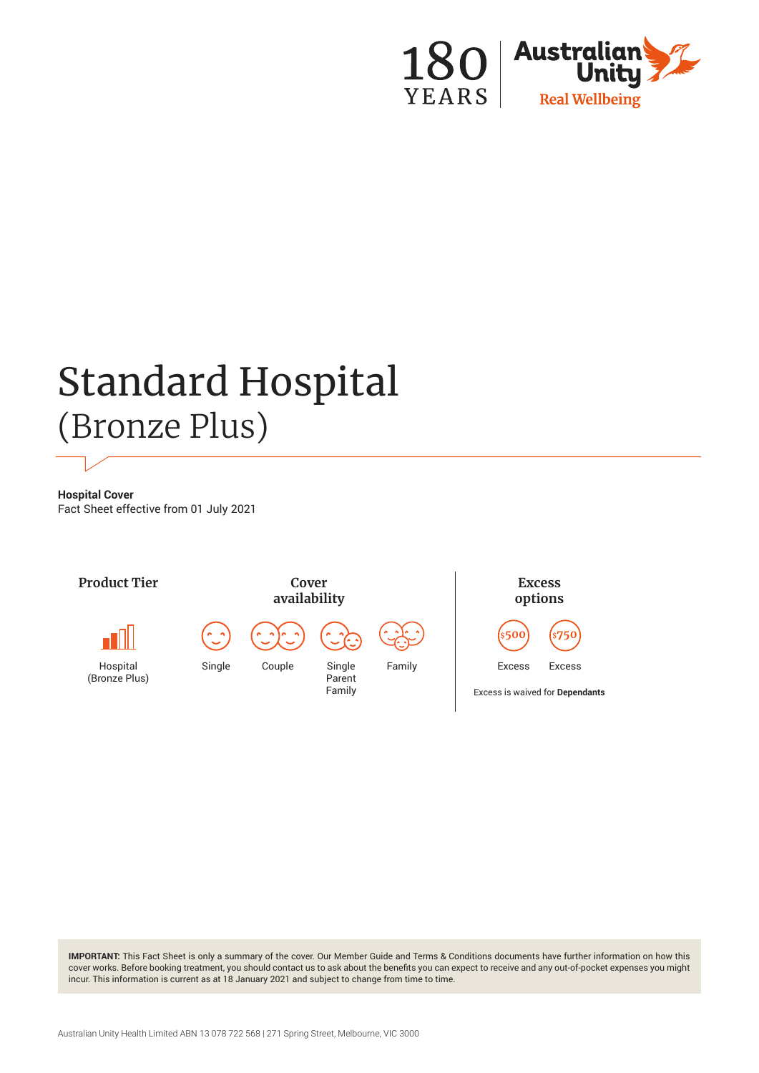

# Standard Hospital (Bronze Plus)

**Hospital Cover** Fact Sheet effective from 01 July 2021



**IMPORTANT:** This Fact Sheet is only a summary of the cover. Our Member Guide and Terms & Conditions documents have further information on how this cover works. Before booking treatment, you should contact us to ask about the benefits you can expect to receive and any out-of-pocket expenses you might incur. This information is current as at 18 January 2021 and subject to change from time to time.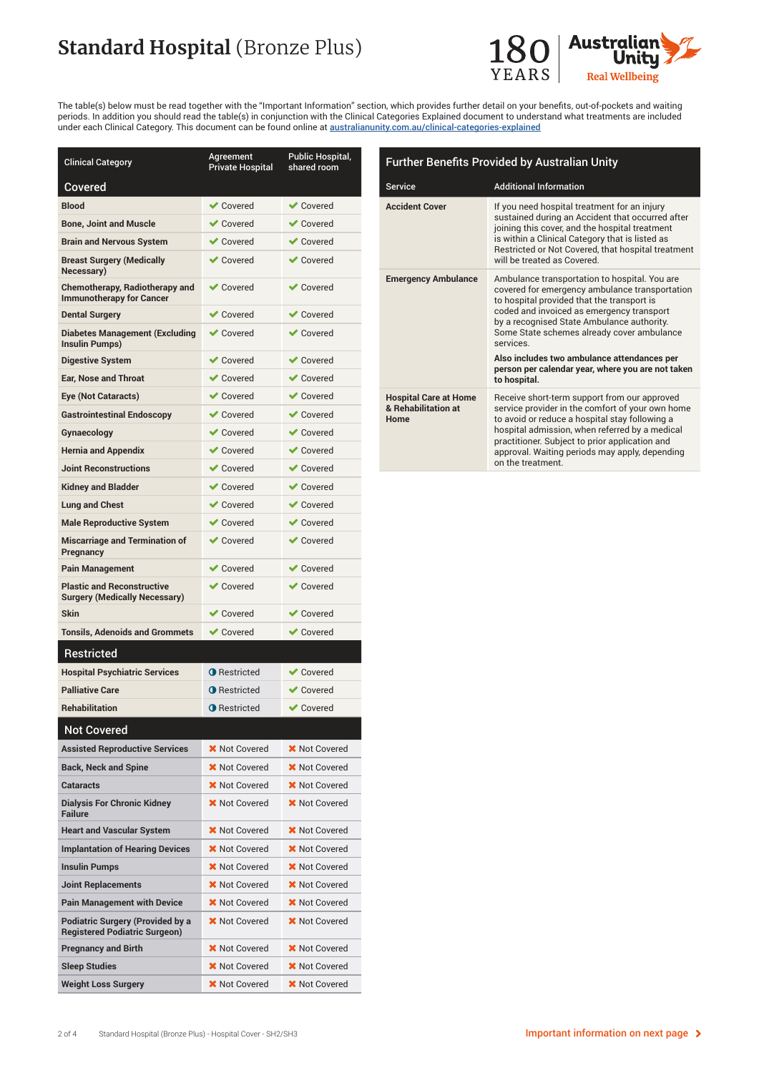# **Standard Hospital (Bronze Plus)**



The table(s) below must be read together with the "Important Information" section, which provides further detail on your benefits, out-of-pockets and waiting periods. In addition you should read the table(s) in conjunction with the Clinical Categories Explained document to understand what treatments are included under each Clinical Category. This document can be found online at [australianunity.com.au/clinical-categories-explained](http://australianunity.com.au/clinical-categories-explained)

| <b>Clinical Category</b>                                                  | Agreement<br><b>Private Hospital</b> | Public Hospital,<br>shared room |
|---------------------------------------------------------------------------|--------------------------------------|---------------------------------|
| Covered                                                                   |                                      |                                 |
| <b>Blood</b>                                                              | <b>◆</b> Covered                     | $\vee$ Covered                  |
| <b>Bone, Joint and Muscle</b>                                             | $\vee$ Covered                       | $\blacktriangleright$ Covered   |
| <b>Brain and Nervous System</b>                                           | <b>◆</b> Covered                     | $\vee$ Covered                  |
| Breast Surgery (Medically<br>Necessary)                                   | <b>◆</b> Covered                     | $\vee$ Covered                  |
| <b>Chemotherapy, Radiotherapy and</b><br><b>Immunotherapy for Cancer</b>  | <b>√</b> Covered                     | $\vee$ Covered                  |
| Dental Surgery                                                            | <b>◆</b> Covered                     | $\vee$ Covered                  |
| <b>Diabetes Management (Excluding</b><br>Insulin Pumps)                   | $\vee$ Covered                       | $\vee$ Covered                  |
| Digestive System                                                          | <b>◆</b> Covered                     | $\vee$ Covered                  |
| <b>Ear, Nose and Throat</b>                                               | <b>◆</b> Covered                     | $\vee$ Covered                  |
| Eye (Not Cataracts)                                                       | <b>◆</b> Covered                     | $\vee$ Covered                  |
| <b>Gastrointestinal Endoscopy</b>                                         | <b>√</b> Covered                     | $\vee$ Covered                  |
| Gynaecology                                                               | $\vee$ Covered                       | <b>√</b> Covered                |
| <b>Hernia and Appendix</b>                                                | <b>√</b> Covered                     | $\vee$ Covered                  |
| <b>Joint Reconstructions</b>                                              | $\vee$ Covered                       | $\vee$ Covered                  |
| <b>Kidney and Bladder</b>                                                 | <b>◆</b> Covered                     | $\vee$ Covered                  |
| Lung and Chest                                                            | $\vee$ Covered                       | $\blacktriangleright$ Covered   |
| <b>Male Reproductive System</b>                                           | <b>◆</b> Covered                     | $\vee$ Covered                  |
| <b>Miscarriage and Termination of</b><br>Pregnancy                        | <b>◆</b> Covered                     | $\vee$ Covered                  |
| Pain Management                                                           | $\vee$ Covered                       | $\blacktriangleright$ Covered   |
| <b>Plastic and Reconstructive</b><br><b>Surgery (Medically Necessary)</b> | <b>◆</b> Covered                     | $\vee$ Covered                  |
| Skin                                                                      | $\vee$ Covered                       | $\vee$ Covered                  |
| <b>Tonsils, Adenoids and Grommets</b>                                     | <b>◆</b> Covered                     | $\vee$ Covered                  |
| Restricted                                                                |                                      |                                 |
| <b>Hospital Psychiatric Services</b>                                      | <b>O</b> Restricted                  | $\vee$ Covered                  |
| <b>Palliative Care</b>                                                    | <b>O</b> Restricted                  | Covered                         |
| <b>Rehabilitation</b>                                                     | <b>O</b> Restricted                  | ✔ Covered                       |
| <b>Not Covered</b>                                                        |                                      |                                 |
| Assisted Reproductive Services                                            | <b>X</b> Not Covered                 | <b>X</b> Not Covered            |
| <b>Back, Neck and Spine</b>                                               | <b>X</b> Not Covered                 | <b>X</b> Not Covered            |
| Cataracts                                                                 | <b>X</b> Not Covered                 | <b>X</b> Not Covered            |
| <b>Dialysis For Chronic Kidney</b><br><b>Failure</b>                      | X Not Covered                        | <b>X</b> Not Covered            |
| <b>Heart and Vascular System</b>                                          | <b>X</b> Not Covered                 | X Not Covered                   |
| Implantation of Hearing Devices                                           | <b>X</b> Not Covered                 | <b>X</b> Not Covered            |
| Insulin Pumps                                                             | <b>X</b> Not Covered                 | <b>X</b> Not Covered            |
| Joint Replacements                                                        | <b>X</b> Not Covered                 | <b>X</b> Not Covered            |
| Pain Management with Device                                               | <b>X</b> Not Covered                 | <b>X</b> Not Covered            |
| Podiatric Surgery (Provided by a<br><b>Registered Podiatric Surgeon)</b>  | <b>X</b> Not Covered                 | <b>X</b> Not Covered            |
| Pregnancy and Birth                                                       | <b>X</b> Not Covered                 | <b>X</b> Not Covered            |
| Sleep Studies                                                             | <b>X</b> Not Covered                 | <b>X</b> Not Covered            |
| Weight Loss Surgery                                                       | <b>X</b> Not Covered                 | <b>X</b> Not Covered            |

| <b>Further Benefits Provided by Australian Unity</b>        |                                                                                                                                                                                                                                                                                                                                                                                                        |  |
|-------------------------------------------------------------|--------------------------------------------------------------------------------------------------------------------------------------------------------------------------------------------------------------------------------------------------------------------------------------------------------------------------------------------------------------------------------------------------------|--|
| <b>Service</b>                                              | <b>Additional Information</b>                                                                                                                                                                                                                                                                                                                                                                          |  |
| <b>Accident Cover</b>                                       | If you need hospital treatment for an injury<br>sustained during an Accident that occurred after<br>joining this cover, and the hospital treatment<br>is within a Clinical Category that is listed as<br>Restricted or Not Covered, that hospital treatment<br>will be treated as Covered.                                                                                                             |  |
| <b>Emergency Ambulance</b>                                  | Ambulance transportation to hospital. You are<br>covered for emergency ambulance transportation<br>to hospital provided that the transport is<br>coded and invoiced as emergency transport<br>by a recognised State Ambulance authority.<br>Some State schemes already cover ambulance<br>services<br>Also includes two ambulance attendances per<br>person per calendar year, where you are not taken |  |
|                                                             | to hospital.                                                                                                                                                                                                                                                                                                                                                                                           |  |
| <b>Hospital Care at Home</b><br>& Rehabilitation at<br>Home | Receive short-term support from our approved<br>service provider in the comfort of your own home<br>to avoid or reduce a hospital stay following a<br>hospital admission, when referred by a medical<br>practitioner. Subject to prior application and<br>approval. Waiting periods may apply, depending                                                                                               |  |

on the treatment.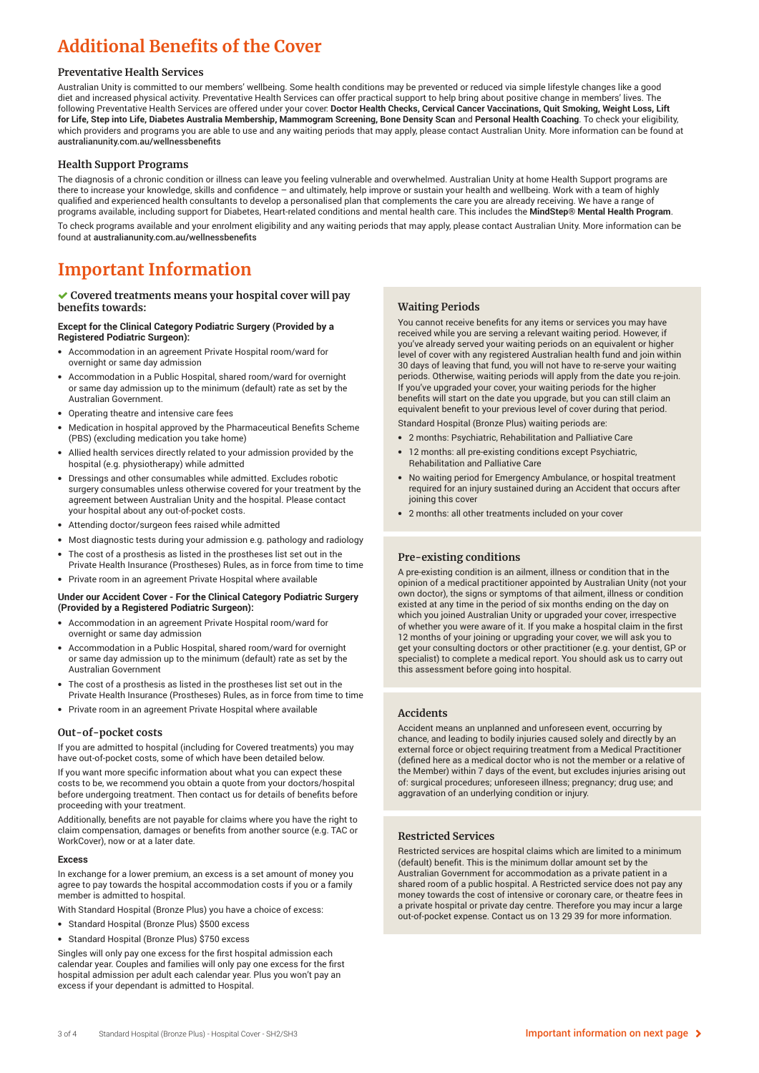### **Additional Benefits of the Cover**

#### **Preventative Health Services**

Australian Unity is committed to our members' wellbeing. Some health conditions may be prevented or reduced via simple lifestyle changes like a good diet and increased physical activity. Preventative Health Services can offer practical support to help bring about positive change in members' lives. The following Preventative Health Services are offered under your cover: **Doctor Health Checks, Cervical Cancer Vaccinations, Quit Smoking, Weight Loss, Lift for Life, Step into Life, Diabetes Australia Membership, Mammogram Screening, Bone Density Scan** and **Personal Health Coaching**. To check your eligibility, which providers and programs you are able to use and any waiting periods that may apply, please contact Australian Unity. More information can be found at australianunity.com.au/wellnessbenefits

#### **Health Support Programs**

The diagnosis of a chronic condition or illness can leave you feeling vulnerable and overwhelmed. Australian Unity at home Health Support programs are there to increase your knowledge, skills and confidence – and ultimately, help improve or sustain your health and wellbeing. Work with a team of highly qualified and experienced health consultants to develop a personalised plan that complements the care you are already receiving. We have a range of programs available, including support for Diabetes, Heart-related conditions and mental health care. This includes the **MindStep® Mental Health Program**. To check programs available and your enrolment eligibility and any waiting periods that may apply, please contact Australian Unity. More information can be found at australianunity.com.au/wellnessbenefits

### **Important Information**

#### **Covered treatments means your hospital cover will pay benefits towards:**

#### **Except for the Clinical Category Podiatric Surgery (Provided by a Registered Podiatric Surgeon):**

- Accommodation in an agreement Private Hospital room/ward for overnight or same day admission
- Accommodation in a Public Hospital, shared room/ward for overnight or same day admission up to the minimum (default) rate as set by the Australian Government.
- Operating theatre and intensive care fees
- Medication in hospital approved by the Pharmaceutical Benefits Scheme (PBS) (excluding medication you take home)
- Allied health services directly related to your admission provided by the hospital (e.g. physiotherapy) while admitted
- Dressings and other consumables while admitted. Excludes robotic surgery consumables unless otherwise covered for your treatment by the agreement between Australian Unity and the hospital. Please contact your hospital about any out-of-pocket costs.
- Attending doctor/surgeon fees raised while admitted
- Most diagnostic tests during your admission e.g. pathology and radiology
- The cost of a prosthesis as listed in the prostheses list set out in the
- Private Health Insurance (Prostheses) Rules, as in force from time to time • Private room in an agreement Private Hospital where available

#### **Under our Accident Cover - For the Clinical Category Podiatric Surgery (Provided by a Registered Podiatric Surgeon):**

- Accommodation in an agreement Private Hospital room/ward for overnight or same day admission
- Accommodation in a Public Hospital, shared room/ward for overnight or same day admission up to the minimum (default) rate as set by the Australian Government
- The cost of a prosthesis as listed in the prostheses list set out in the Private Health Insurance (Prostheses) Rules, as in force from time to time
- Private room in an agreement Private Hospital where available

#### **Out-of-pocket costs**

If you are admitted to hospital (including for Covered treatments) you may have out-of-pocket costs, some of which have been detailed below

If you want more specific information about what you can expect these costs to be, we recommend you obtain a quote from your doctors/hospital before undergoing treatment. Then contact us for details of benefits before proceeding with your treatment.

Additionally, benefits are not payable for claims where you have the right to claim compensation, damages or benefits from another source (e.g. TAC or WorkCover), now or at a later date.

#### **Excess**

In exchange for a lower premium, an excess is a set amount of money you agree to pay towards the hospital accommodation costs if you or a family member is admitted to hospital.

With Standard Hospital (Bronze Plus) you have a choice of excess:

- Standard Hospital (Bronze Plus) \$500 excess
- Standard Hospital (Bronze Plus) \$750 excess

Singles will only pay one excess for the first hospital admission each calendar year. Couples and families will only pay one excess for the first hospital admission per adult each calendar year. Plus you won't pay an excess if your dependant is admitted to Hospital.

#### **Waiting Periods**

You cannot receive benefits for any items or services you may have received while you are serving a relevant waiting period. However, if you've already served your waiting periods on an equivalent or higher level of cover with any registered Australian health fund and join within 30 days of leaving that fund, you will not have to re-serve your waiting periods. Otherwise, waiting periods will apply from the date you re-join. If you've upgraded your cover, your waiting periods for the higher benefits will start on the date you upgrade, but you can still claim an equivalent benefit to your previous level of cover during that period.

Standard Hospital (Bronze Plus) waiting periods are:

- 2 months: Psychiatric, Rehabilitation and Palliative Care
- 12 months: all pre-existing conditions except Psychiatric, Rehabilitation and Palliative Care
- No waiting period for Emergency Ambulance, or hospital treatment required for an injury sustained during an Accident that occurs after joining this cover
- 2 months: all other treatments included on your cover

#### **Pre-existing conditions**

A pre-existing condition is an ailment, illness or condition that in the opinion of a medical practitioner appointed by Australian Unity (not your own doctor), the signs or symptoms of that ailment, illness or condition existed at any time in the period of six months ending on the day on which you joined Australian Unity or upgraded your cover, irrespective of whether you were aware of it. If you make a hospital claim in the first 12 months of your joining or upgrading your cover, we will ask you to get your consulting doctors or other practitioner (e.g. your dentist, GP or specialist) to complete a medical report. You should ask us to carry out this assessment before going into hospital.

#### **Accidents**

Accident means an unplanned and unforeseen event, occurring by chance, and leading to bodily injuries caused solely and directly by an external force or object requiring treatment from a Medical Practitioner (defined here as a medical doctor who is not the member or a relative of the Member) within 7 days of the event, but excludes injuries arising out of: surgical procedures; unforeseen illness; pregnancy; drug use; and aggravation of an underlying condition or injury.

#### **Restricted Services**

Restricted services are hospital claims which are limited to a minimum (default) benefit. This is the minimum dollar amount set by the Australian Government for accommodation as a private patient in a shared room of a public hospital. A Restricted service does not pay any money towards the cost of intensive or coronary care, or theatre fees in a private hospital or private day centre. Therefore you may incur a large out-of-pocket expense. Contact us on 13 29 39 for more information.